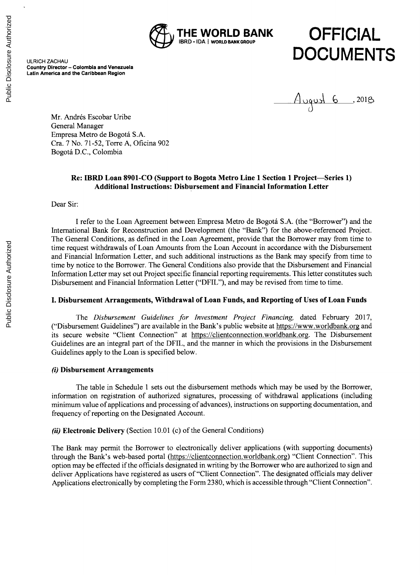

# **DFFICIAL** ULRICH ZACHAUD **UNDENTS**

**Country Director - Colombia and Venezuela Latin America and the Caribbean Region**

August 6, 2018

Mr. Andrés Escobar Uribe General Manager Empresa Metro de Bogota **S.A.** Cra. **7** No. *71-52,* Torre **A,** Oficina **902** Bogota **D.C.,** Colombia

# **Re: IBRD Loan 8901-CO (Support to Bogota Metro Line 1 Section 1 Project-Series 1) Additional Instructions: Disbursement and Financial Information Letter**

Dear Sir:

**I** refer to the Loan Agreement between Empresa Metro de Bogota **S.A.** (the "Borrower") and the International Bank for Reconstruction and Development (the "Bank") for the above-referenced Project. The General Conditions, as defined in the Loan Agreement, provide that the Borrower may from time to time request withdrawals of Loan Amounts from the Loan Account in accordance with the Disbursement and Financial Information Letter, and such additional instructions as the Bank may specify from time to time **by** notice to the Borrower. The General Conditions also provide that the Disbursement and Financial Information Letter may set out Project specific financial reporting requirements. This letter constitutes such Disbursement and Financial Information Letter ("DFIL"), and may be revised from time to time.

## **I. Disbursement Arrangements, Withdrawal of Loan Funds, and Reporting of Uses of Loan Funds**

*The Disbursement Guidelines for Investment Project Financing,* dated February **2017,** ("Disbursement Guidelines") are available in the Bank's public website at https://www.worldbank.org and its secure website "Client Connection" at https://clientconnection.worldbank.org. The Disbursement Guidelines are an integral part of the DFIL, and the manner in which the provisions in the Disbursement Guidelines apply to the Loan is specified below.

# *(i)* **Disbursement Arrangements**

The table in Schedule **I** sets out the disbursement methods which may be used **by** the Borrower, information on registration of authorized signatures, processing of withdrawal applications (including minimum value of applications and processing of advances), instructions on supporting documentation, and frequency of reporting on the Designated Account.

# *(ii)* **Electronic Delivery** (Section **10.01** (c) of the General Conditions)

The Bank may permit the Borrower to electronically deliver applications (with supporting documents) through the Bank's web-based portal (https://clientconnection.worldbank.org) "Client Connection". This option may be effected if the officials designated in writing **by** the Borrower who are authorized to sign and deliver Applications have registered as users of "Client Connection". The designated officials may deliver Applications electronically **by** completing the Form **2380,** which is accessible through "Client Connection".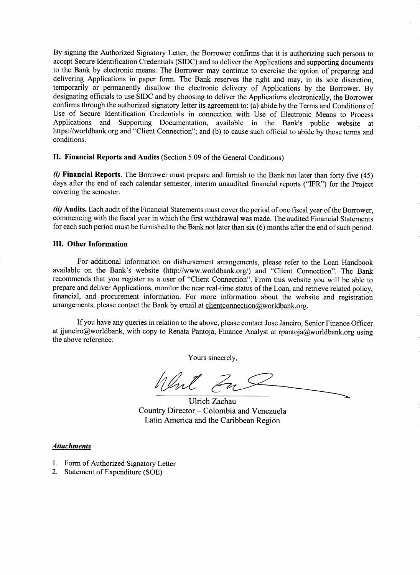**By** signing the Authorized Signatory Letter, the Borrower confirms that it is authorizing such persons to accept Secure Identification Credentials **(SIDC)** and to deliver the Applications and supporting documents to the Bank **by** electronic means. The Borrower may continue to exercise the option of preparing and delivering Applications in paper form. The Bank reserves the right and may, in its sole discretion, temporarily or permanently disallow the electronic delivery of Applications **by** the Borrower. **By** designating officials to use **SIDC** and **by** choosing to deliver the Applications electronically, the Borrower confirms through the authorized signatory letter its agreement to: (a) abide **by** the Terms and Conditions of Use of Secure Identification Credentials in connection with Use of Electronic Means to Process Applications and Supporting Documentation, available in the Bank's public website at https://worldbank.org and "Client Connection"; and **(b)** to cause such official to abide **by** those terms and conditions.

**II. Financial Reports and Audits** (Section **5.09** of the General Conditions)

*(i)* **Financial Reports. The Borrower must prepare and furnish to the Bank not later than forty-five** (45) days after the end of each calendar semester, interim unaudited financial reports ("IFR") for the Project covering the semester.

*(ii)* **Audits.** Each audit of the Financial Statements must cover the period of one fiscal year of the Borrower, commencing with the fiscal year in which the first withdrawal was made. The audited Financial Statements for each such period must be furnished to the Bank not later than six **(6)** months after the end of such period.

### **III. Other Information**

For additional information on disbursement arrangements, please refer to the Loan Handbook available on the Bank's website (http://www.worldbank.org/) and "Client Connection". The Bank recommends that you register as a user of "Client Connection". From this website you will be able to prepare and deliver Applications, monitor the near real-time status of the Loan, and retrieve related policy, financial, and procurement information. For more information about the website and registration arrangements, please contact the Bank by email at clientconnection $@$ worldbank.org.

**If** you have any queries in relation to the above, please contact Jose Janeiro, Senior Finance Officer at jjaneiro@worldbank, with copy to Renata Pantoja, Finance Analyst at rpantoja@worldbank.org using the above reference.

Yours sincerely,

Went Zu

Ulrich Zachau Country Director **- Colombia and Venezuela** Latin America and the Caribbean Region

### *Attachments*

- **1.** Form of Authorized Signatory Letter
- 2. Statement of Expenditure **(SOE)**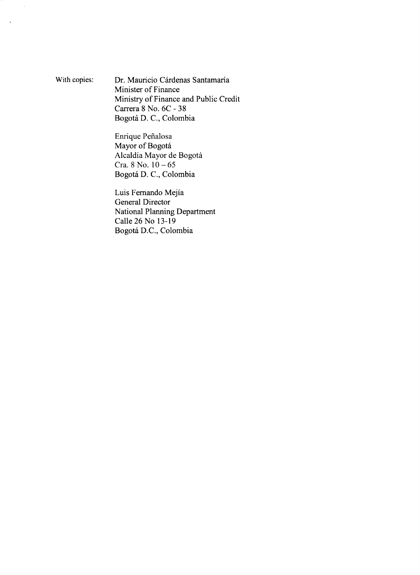With copies: Dr. Mauricio Cárdenas Santamaría Minister of Finance Ministry of Finance and Public Credit Carrera **8** No. **6C - 38** Bogota **D. C.,** Colombia

> Enrique Pefialosa Mayor of Bogotá Alcaldía Mayor de Bogotá Cra. **8** No. *10* **-** *65* Bogotá D. C., Colombia

Luis Fernando Mejia General Director National Planning Department Calle **26** No **13-19** Bogotá D.C., Colombia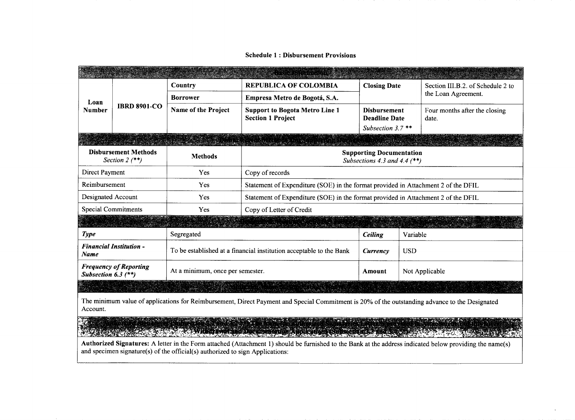### Schedule 1: Disbursement Provisions

| Loan<br><b>Number</b>                                    | <b>IBRD 8901-CO</b>        | Country                          | <b>REPUBLICA OF COLOMBIA</b>                                                      | <b>Closing Date</b>                                                |            | Section III.B.2. of Schedule 2 to      |  |  |  |
|----------------------------------------------------------|----------------------------|----------------------------------|-----------------------------------------------------------------------------------|--------------------------------------------------------------------|------------|----------------------------------------|--|--|--|
|                                                          |                            | <b>Borrower</b>                  | Empresa Metro de Bogotá, S.A.                                                     |                                                                    |            | the Loan Agreement.                    |  |  |  |
|                                                          |                            | Name of the Project              | <b>Support to Bogota Metro Line 1</b><br><b>Section 1 Project</b>                 | <b>Disbursement</b><br><b>Deadline Date</b><br>Subsection $3.7$ ** |            | Four months after the closing<br>date. |  |  |  |
|                                                          |                            |                                  |                                                                                   |                                                                    |            |                                        |  |  |  |
|                                                          |                            |                                  | A MARINA A LA SERVACIÓN A LA                                                      |                                                                    |            |                                        |  |  |  |
| <b>Disbursement Methods</b><br>Section 2 $(**)$          |                            | <b>Methods</b>                   | <b>Supporting Documentation</b><br>Subsections 4.3 and 4.4 $(**)$                 |                                                                    |            |                                        |  |  |  |
| Direct Payment                                           |                            | Yes                              | Copy of records                                                                   |                                                                    |            |                                        |  |  |  |
| Reimbursement                                            |                            | Yes                              | Statement of Expenditure (SOE) in the format provided in Attachment 2 of the DFIL |                                                                    |            |                                        |  |  |  |
| Designated Account                                       |                            | Yes                              | Statement of Expenditure (SOE) in the format provided in Attachment 2 of the DFIL |                                                                    |            |                                        |  |  |  |
|                                                          | <b>Special Commitments</b> | Yes                              | Copy of Letter of Credit                                                          |                                                                    |            |                                        |  |  |  |
|                                                          |                            |                                  | [201] 2020 - 그의 2020 프로그램 : 2020 - 2020                                           |                                                                    |            |                                        |  |  |  |
| <b>Type</b>                                              |                            | Segregated                       | <b>Ceiling</b>                                                                    | Variable                                                           |            |                                        |  |  |  |
| <b>Financial Institution -</b><br><b>Name</b>            |                            |                                  | To be established at a financial institution acceptable to the Bank               | Currency                                                           | <b>USD</b> |                                        |  |  |  |
| <b>Frequency of Reporting</b><br>Subsection $6.3$ $(**)$ |                            | At a minimum, once per semester. | Amount                                                                            | Not Applicable                                                     |            |                                        |  |  |  |
|                                                          |                            |                                  | BERTAL BERTANDI INDIALISTI ALLAND                                                 |                                                                    |            |                                        |  |  |  |

The minimum value of applications for Reimbursement, Direct Payment and Special Commitment is 20% of the outstanding advance to the Designated Account.

 $\mathcal{L}(\mathcal{E}) \neq \emptyset$ \* Witherlawn and Discumentation Application (Stiftweiter Softweit

Authorized Signatures: **A** letter in the Form attached (Attachment **1)** should be furnished to the Bank at the address indicated below providing the name(s) and specimen signature(s) of the official(s) authorized to sign Applications: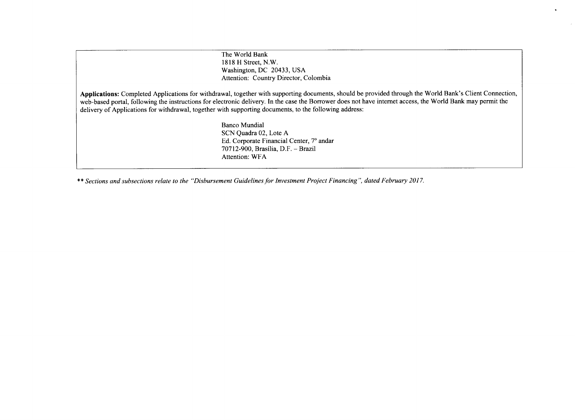The World Bank **1818** H Street, N.W. Washington, **DC** 20433, **USA** Attention: Country Director, Colombia

**Applications:** Completed Applications for withdrawal, together with supporting documents, should be provided through the World Bank's Client Connection, web-based portal, following the instructions for electronic delivery. In the case the Borrower does not have internet access, the World Bank may permit the delivery of Applications for withdrawal, together with supporting documents, to the following address:

 $\ddot{\phantom{0}}$ 

Banco Mundial **SCN** Quadra 02, Lote **A Ed.** Corporate Financial Center, **7o** andar **70712-900,** Brasilia, D.F. **-** Brazil Attention: WFA

\*\* *Sections and subsections relate to the "Disbursement Guidelines for Investment Project Financing", dated February 2017.*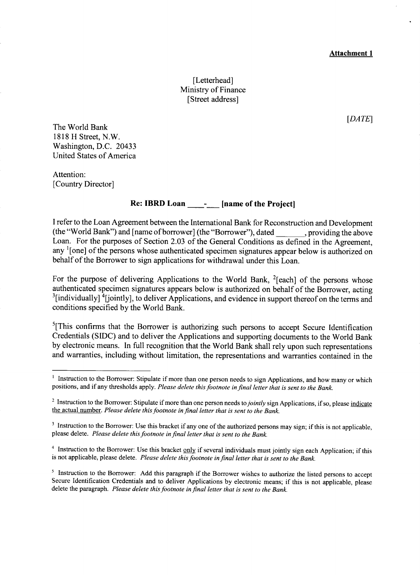### **Attachment 1**

[Letterhead] Ministry of Finance [Street address]

*[DA TE]*

The World Bank **1818** H Street, N.W. Washington, **D.C.** 20433 United States of America

Attention: [Country Director]

# **Re: IBRD Loan** - **[name of the Project]**

**<sup>I</sup>**refer to the Loan Agreement between the International Bank for Reconstruction and Development (the "World Bank") and [name of borrower] (the "Borrower"), dated , providing the above Loan. For the purposes of Section **2.03** of the General Conditions as defined in the Agreement, any <sup>1</sup>[one] of the persons whose authenticated specimen signatures appear below is authorized on behalf of the Borrower to sign applications for withdrawal under this Loan.

For the purpose of delivering Applications to the World Bank,  $^{2}$ [each] of the persons whose authenticated specimen signatures appears below is authorized on behalf of the Borrower, acting <sup>3</sup> <sup>3</sup>[individually] <sup>4</sup>[jointly], to deliver Applications, and evidence in support thereof on the terms and conditions specified **by** the World Bank.

 $<sup>5</sup>[This confirms that the Borrower is authorizing such persons to accept Secure Identification$ </sup> Credentials **(SIDC)** and to deliver the Applications and supporting documents to the World Bank **by** electronic means. In full recognition that the World Bank shall rely upon such representations and warranties, including without limitation, the representations and warranties contained in the

<sup>&</sup>lt;sup>1</sup> Instruction to the Borrower: Stipulate if more than one person needs to sign Applications, and how many or which positions, and if any thresholds apply. *Please delete this footnote in final letter that is sent to the Bank.*

<sup>&</sup>lt;sup>2</sup> Instruction to the Borrower: Stipulate if more than one person needs to *jointly* sign Applications, if so, please indicate the actual number. *Please delete this footnote in final letter that is sent to the Bank.*

**<sup>3</sup>**Instruction to the Borrower: Use this bracket if any one of the authorized persons may sign; if this is not applicable, please delete. *Please delete this footnote in final letter that is sent to the Bank.*

<sup>4</sup> Instruction to the Borrower: Use this bracket **only** if several individuals must jointly sign each Application; if this is not applicable, please delete. *Please delete this footnote in final letter that is sent to the Bank.*

<sup>&</sup>lt;sup>5</sup> Instruction to the Borrower: Add this paragraph if the Borrower wishes to authorize the listed persons to accept Secure Identification Credentials and to deliver Applications by electronic means; if this is not applica delete the paragraph. *Please delete this footnote in final letter that is sent to the Bank.*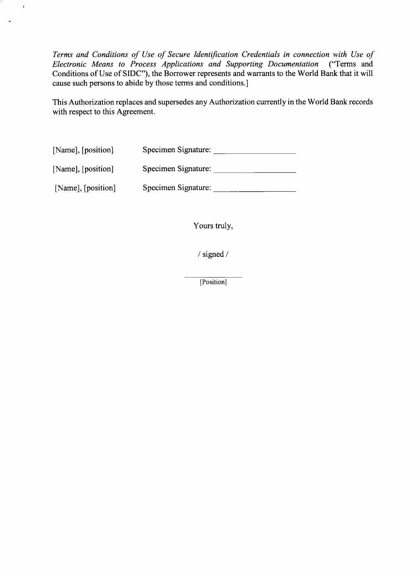*Terms and Conditions of Use of Secure Identification Credentials in connection with Use of Electronic Means to Process Applications and Supporting Documentation ("Terms and*  $\overline{\phantom{a}}$ *Electronic Means to Process Applications and Supporting Documentation* Conditions of Use of **SIDC"),** the Borrower represents and warrants to the World Bank that it will cause such persons to abide **by** those terms and conditions.]

This Authorization replaces and supersedes any Authorization currently in the World Bank records with respect to this Agreement.

| [Name], [position] | Specimen Signature: |
|--------------------|---------------------|
| [Name], [position] | Specimen Signature: |
| [Name], [position] | Specimen Signature: |

 $\lambda$ 

Yours truly,

**/** signed

[Position]